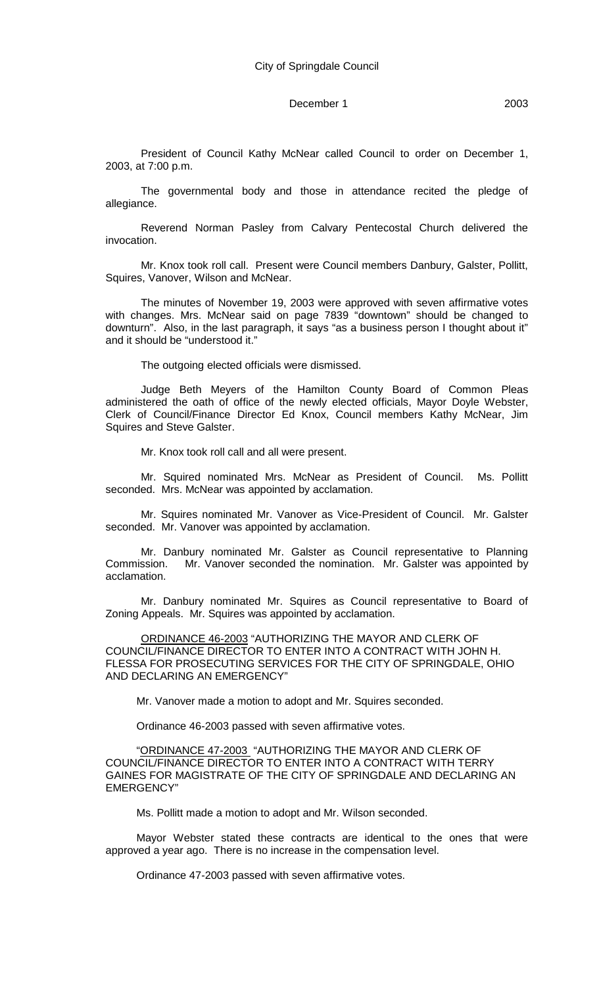#### December 1 2003

President of Council Kathy McNear called Council to order on December 1, 2003, at 7:00 p.m.

The governmental body and those in attendance recited the pledge of allegiance.

Reverend Norman Pasley from Calvary Pentecostal Church delivered the invocation.

Mr. Knox took roll call. Present were Council members Danbury, Galster, Pollitt, Squires, Vanover, Wilson and McNear.

The minutes of November 19, 2003 were approved with seven affirmative votes with changes. Mrs. McNear said on page 7839 "downtown" should be changed to downturn". Also, in the last paragraph, it says "as a business person I thought about it" and it should be "understood it."

The outgoing elected officials were dismissed.

Judge Beth Meyers of the Hamilton County Board of Common Pleas administered the oath of office of the newly elected officials, Mayor Doyle Webster, Clerk of Council/Finance Director Ed Knox, Council members Kathy McNear, Jim Squires and Steve Galster.

Mr. Knox took roll call and all were present.

Mr. Squired nominated Mrs. McNear as President of Council. Ms. Pollitt seconded. Mrs. McNear was appointed by acclamation.

Mr. Squires nominated Mr. Vanover as Vice-President of Council. Mr. Galster seconded. Mr. Vanover was appointed by acclamation.

Mr. Danbury nominated Mr. Galster as Council representative to Planning Commission. Mr. Vanover seconded the nomination. Mr. Galster was appointed by acclamation.

Mr. Danbury nominated Mr. Squires as Council representative to Board of Zoning Appeals. Mr. Squires was appointed by acclamation.

ORDINANCE 46-2003 "AUTHORIZING THE MAYOR AND CLERK OF COUNCIL/FINANCE DIRECTOR TO ENTER INTO A CONTRACT WITH JOHN H. FLESSA FOR PROSECUTING SERVICES FOR THE CITY OF SPRINGDALE, OHIO AND DECLARING AN EMERGENCY"

Mr. Vanover made a motion to adopt and Mr. Squires seconded.

Ordinance 46-2003 passed with seven affirmative votes.

"ORDINANCE 47-2003 "AUTHORIZING THE MAYOR AND CLERK OF COUNCIL/FINANCE DIRECTOR TO ENTER INTO A CONTRACT WITH TERRY GAINES FOR MAGISTRATE OF THE CITY OF SPRINGDALE AND DECLARING AN EMERGENCY"

Ms. Pollitt made a motion to adopt and Mr. Wilson seconded.

Mayor Webster stated these contracts are identical to the ones that were approved a year ago. There is no increase in the compensation level.

Ordinance 47-2003 passed with seven affirmative votes.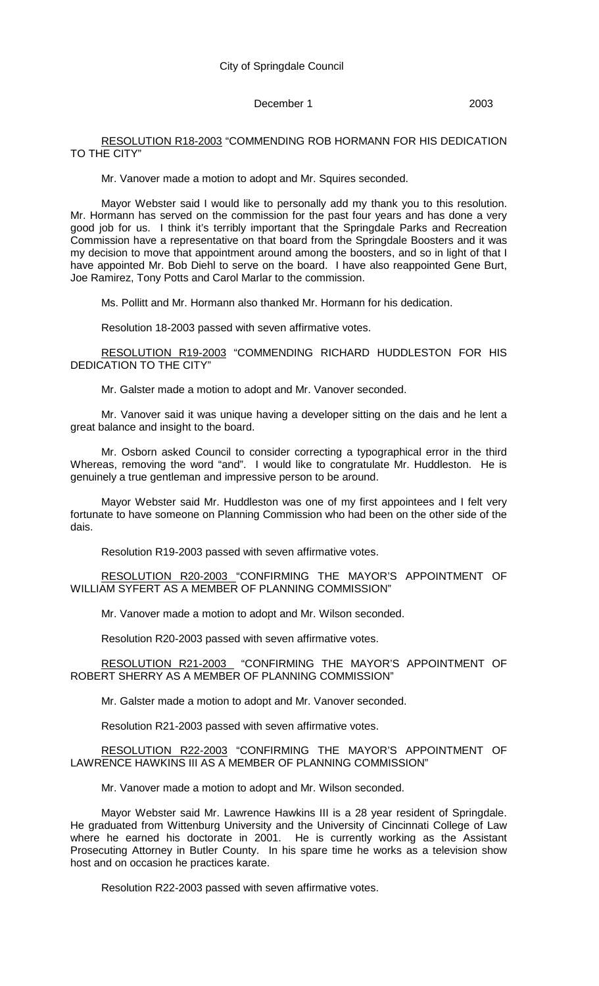### December 1 2003

RESOLUTION R18-2003 "COMMENDING ROB HORMANN FOR HIS DEDICATION TO THE CITY"

Mr. Vanover made a motion to adopt and Mr. Squires seconded.

Mayor Webster said I would like to personally add my thank you to this resolution. Mr. Hormann has served on the commission for the past four years and has done a very good job for us. I think it's terribly important that the Springdale Parks and Recreation Commission have a representative on that board from the Springdale Boosters and it was my decision to move that appointment around among the boosters, and so in light of that I have appointed Mr. Bob Diehl to serve on the board. I have also reappointed Gene Burt, Joe Ramirez, Tony Potts and Carol Marlar to the commission.

Ms. Pollitt and Mr. Hormann also thanked Mr. Hormann for his dedication.

Resolution 18-2003 passed with seven affirmative votes.

RESOLUTION R19-2003 "COMMENDING RICHARD HUDDLESTON FOR HIS DEDICATION TO THE CITY"

Mr. Galster made a motion to adopt and Mr. Vanover seconded.

Mr. Vanover said it was unique having a developer sitting on the dais and he lent a great balance and insight to the board.

Mr. Osborn asked Council to consider correcting a typographical error in the third Whereas, removing the word "and". I would like to congratulate Mr. Huddleston. He is genuinely a true gentleman and impressive person to be around.

Mayor Webster said Mr. Huddleston was one of my first appointees and I felt very fortunate to have someone on Planning Commission who had been on the other side of the dais.

Resolution R19-2003 passed with seven affirmative votes.

RESOLUTION R20-2003 "CONFIRMING THE MAYOR'S APPOINTMENT OF WILLIAM SYFERT AS A MEMBER OF PLANNING COMMISSION"

Mr. Vanover made a motion to adopt and Mr. Wilson seconded.

Resolution R20-2003 passed with seven affirmative votes.

RESOLUTION R21-2003 "CONFIRMING THE MAYOR'S APPOINTMENT OF ROBERT SHERRY AS A MEMBER OF PLANNING COMMISSION"

Mr. Galster made a motion to adopt and Mr. Vanover seconded.

Resolution R21-2003 passed with seven affirmative votes.

RESOLUTION R22-2003 "CONFIRMING THE MAYOR'S APPOINTMENT OF LAWRENCE HAWKINS III AS A MEMBER OF PLANNING COMMISSION"

Mr. Vanover made a motion to adopt and Mr. Wilson seconded.

Mayor Webster said Mr. Lawrence Hawkins III is a 28 year resident of Springdale. He graduated from Wittenburg University and the University of Cincinnati College of Law where he earned his doctorate in 2001. He is currently working as the Assistant Prosecuting Attorney in Butler County. In his spare time he works as a television show host and on occasion he practices karate.

Resolution R22-2003 passed with seven affirmative votes.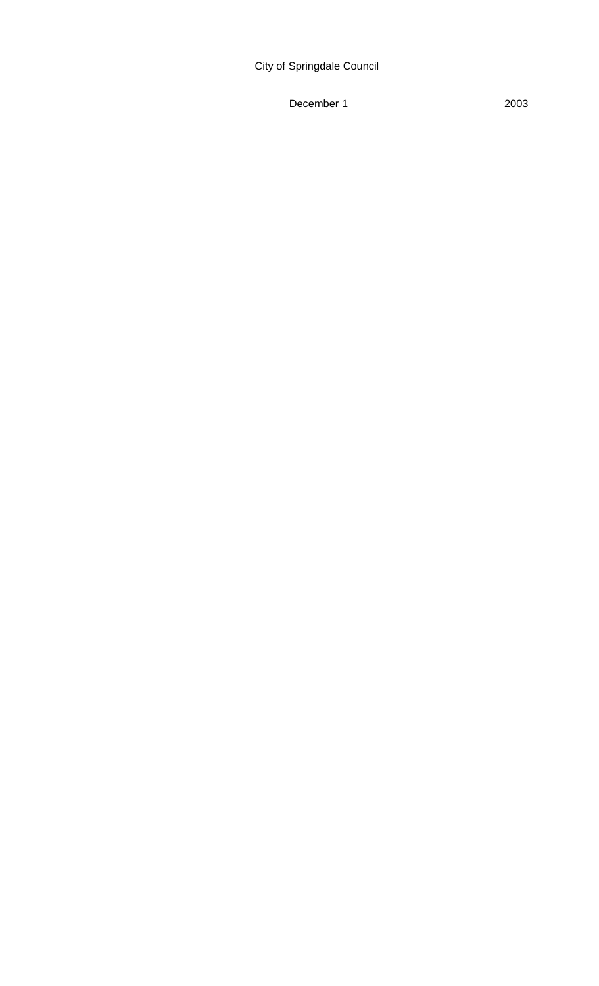# City of Springdale Council

December 1 2003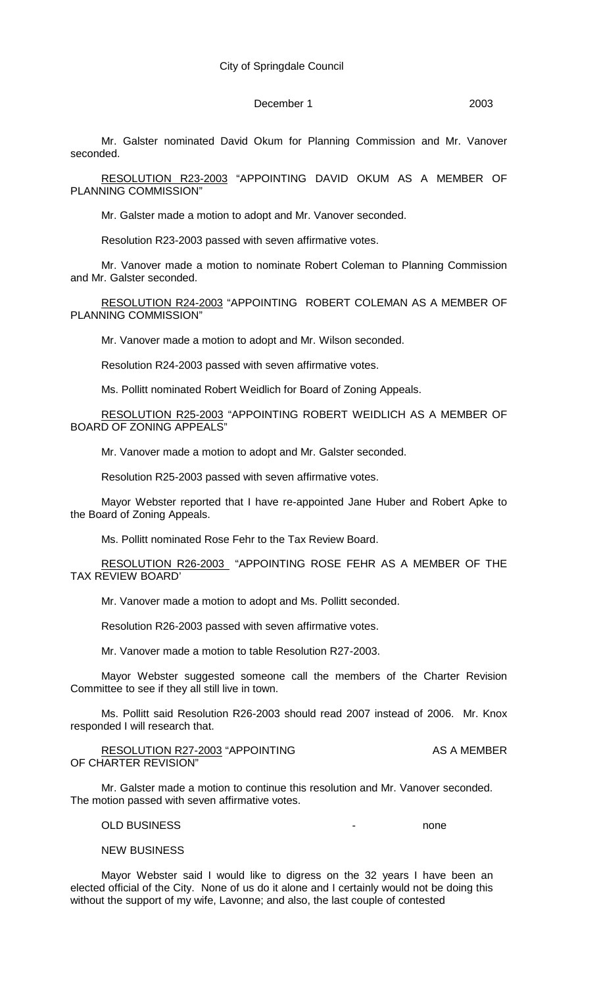### December 1 2003

Mr. Galster nominated David Okum for Planning Commission and Mr. Vanover seconded.

RESOLUTION R23-2003 "APPOINTING DAVID OKUM AS A MEMBER OF PLANNING COMMISSION"

Mr. Galster made a motion to adopt and Mr. Vanover seconded.

Resolution R23-2003 passed with seven affirmative votes.

Mr. Vanover made a motion to nominate Robert Coleman to Planning Commission and Mr. Galster seconded.

RESOLUTION R24-2003 "APPOINTING ROBERT COLEMAN AS A MEMBER OF PLANNING COMMISSION"

Mr. Vanover made a motion to adopt and Mr. Wilson seconded.

Resolution R24-2003 passed with seven affirmative votes.

Ms. Pollitt nominated Robert Weidlich for Board of Zoning Appeals.

RESOLUTION R25-2003 "APPOINTING ROBERT WEIDLICH AS A MEMBER OF BOARD OF ZONING APPEALS"

Mr. Vanover made a motion to adopt and Mr. Galster seconded.

Resolution R25-2003 passed with seven affirmative votes.

Mayor Webster reported that I have re-appointed Jane Huber and Robert Apke to the Board of Zoning Appeals.

Ms. Pollitt nominated Rose Fehr to the Tax Review Board.

RESOLUTION R26-2003 "APPOINTING ROSE FEHR AS A MEMBER OF THE TAX REVIEW BOARD'

Mr. Vanover made a motion to adopt and Ms. Pollitt seconded.

Resolution R26-2003 passed with seven affirmative votes.

Mr. Vanover made a motion to table Resolution R27-2003.

Mayor Webster suggested someone call the members of the Charter Revision Committee to see if they all still live in town.

Ms. Pollitt said Resolution R26-2003 should read 2007 instead of 2006. Mr. Knox responded I will research that.

RESOLUTION R27-2003 "APPOINTING AS A MEMBER OF CHARTER REVISION"

Mr. Galster made a motion to continue this resolution and Mr. Vanover seconded. The motion passed with seven affirmative votes.

OLD BUSINESS and the contract of the contract of the contract of the contract of the contract of the contract of the contract of the contract of the contract of the contract of the contract of the contract of the contract

#### NEW BUSINESS

Mayor Webster said I would like to digress on the 32 years I have been an elected official of the City. None of us do it alone and I certainly would not be doing this without the support of my wife, Lavonne; and also, the last couple of contested